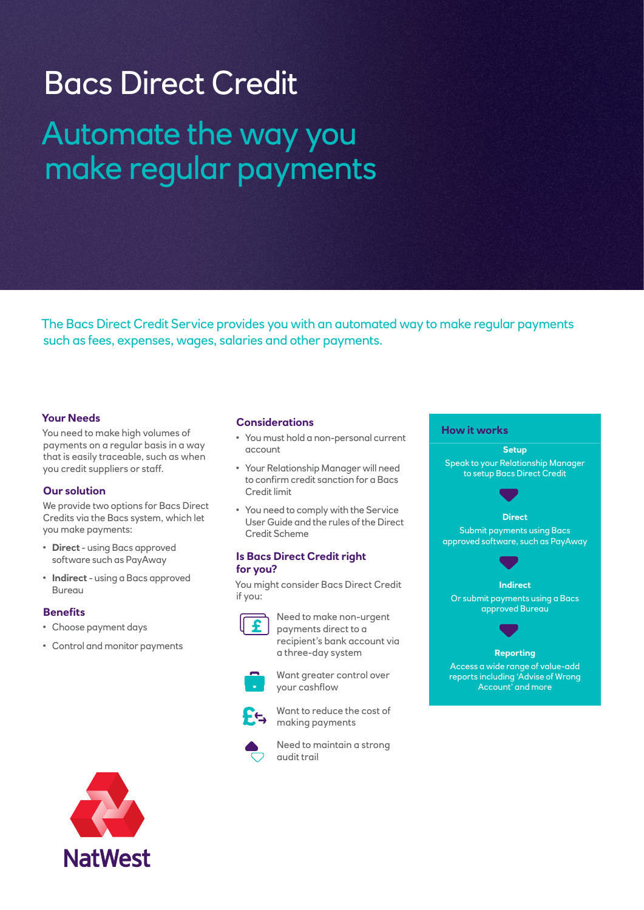# Bacs Direct Credit Automate the way you make regular payments

The Bacs Direct Credit Service provides you with an automated way to make regular payments such as fees, expenses, wages, salaries and other payments.

# **Your Needs**

You need to make high volumes of payments on a regular basis in a way that is easily traceable, such as when you credit suppliers or staff.

## **Our solution**

We provide two options for Bacs Direct Credits via the Bacs system, which let you make payments:

- **Direct** using Bacs approved software such as PayAway
- **Indirect** using a Bacs approved Bureau

## **Benefits**

- Choose payment days
- Control and monitor payments

#### **Considerations**

- You must hold a non-personal current account
- Your Relationship Manager will need to confirm credit sanction for a Bacs Credit limit
- You need to comply with the Service User Guide and the rules of the Direct Credit Scheme

#### **Is Bacs Direct Credit right for you?**

You might consider Bacs Direct Credit if you:

Need to make non-urgent payments direct to a recipient's bank account via a three-day system



Want greater control over your cashflow



Want to reduce the cost of making payments



Need to maintain a strong audit trail

#### **How it works**

**Setup** Speak to your Relationship Manager to setup Bacs Direct Credit **Direct** Submit payments using Bacs approved software, such as PayAway **Indirect** Or submit payments using a Bacs approved Bureau **Reporting** Access a wide range of value-add reports including 'Advise of Wrong

Account' and more